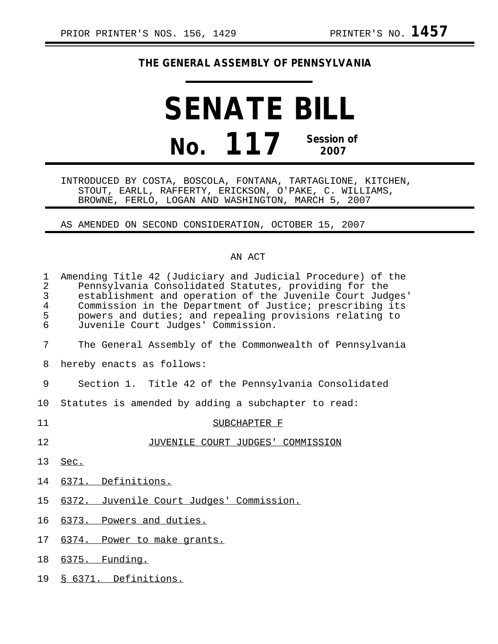## **THE GENERAL ASSEMBLY OF PENNSYLVANIA**

## **SENATE BILL No. 117 Session of 2007**

INTRODUCED BY COSTA, BOSCOLA, FONTANA, TARTAGLIONE, KITCHEN, STOUT, EARLL, RAFFERTY, ERICKSON, O'PAKE, C. WILLIAMS, BROWNE, FERLO, LOGAN AND WASHINGTON, MARCH 5, 2007

AS AMENDED ON SECOND CONSIDERATION, OCTOBER 15, 2007

## AN ACT

| $\mathbf 1$<br>$\overline{2}$<br>3<br>$\overline{4}$<br>5<br>6 | Amending Title 42 (Judiciary and Judicial Procedure) of the<br>Pennsylvania Consolidated Statutes, providing for the<br>establishment and operation of the Juvenile Court Judges'<br>Commission in the Department of Justice; prescribing its<br>powers and duties; and repealing provisions relating to<br>Juvenile Court Judges' Commission. |
|----------------------------------------------------------------|------------------------------------------------------------------------------------------------------------------------------------------------------------------------------------------------------------------------------------------------------------------------------------------------------------------------------------------------|
| 7                                                              | The General Assembly of the Commonwealth of Pennsylvania                                                                                                                                                                                                                                                                                       |
| 8                                                              | hereby enacts as follows:                                                                                                                                                                                                                                                                                                                      |
| 9                                                              | Section 1. Title 42 of the Pennsylvania Consolidated                                                                                                                                                                                                                                                                                           |
| 10                                                             | Statutes is amended by adding a subchapter to read:                                                                                                                                                                                                                                                                                            |
| 11                                                             | SUBCHAPTER F                                                                                                                                                                                                                                                                                                                                   |
| 12                                                             | JUVENILE COURT JUDGES' COMMISSION                                                                                                                                                                                                                                                                                                              |
| 13                                                             | Sec.                                                                                                                                                                                                                                                                                                                                           |
| 14                                                             | 6371. Definitions.                                                                                                                                                                                                                                                                                                                             |
| 15                                                             | 6372. Juvenile Court Judges' Commission.                                                                                                                                                                                                                                                                                                       |
| 16                                                             | 6373. Powers and duties.                                                                                                                                                                                                                                                                                                                       |
| 17                                                             | 6374. Power to make grants.                                                                                                                                                                                                                                                                                                                    |
| 18                                                             | 6375. Funding.                                                                                                                                                                                                                                                                                                                                 |
| 19                                                             | § 6371. Definitions.                                                                                                                                                                                                                                                                                                                           |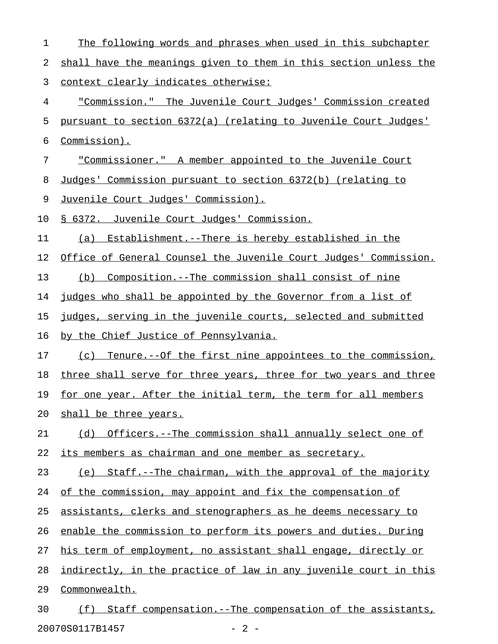| 1  | The following words and phrases when used in this subchapter     |
|----|------------------------------------------------------------------|
| 2  | shall have the meanings given to them in this section unless the |
| 3  | <u>context clearly indicates otherwise:</u>                      |
| 4  | "Commission." The Juvenile Court Judges' Commission created      |
| 5  | pursuant to section 6372(a) (relating to Juvenile Court Judges'  |
| 6  | Commission).                                                     |
| 7  | "Commissioner." A member appointed to the Juvenile Court         |
| 8  | Judges' Commission pursuant to section 6372(b) (relating to      |
| 9  | <u>Juvenile Court Judges' Commission).</u>                       |
| 10 | § 6372. Juvenile Court Judges' Commission.                       |
| 11 | Establishment.--There is hereby established in the<br>(a)        |
| 12 | Office of General Counsel the Juvenile Court Judges' Commission. |
| 13 | (b) Composition.--The commission shall consist of nine           |
| 14 | judges who shall be appointed by the Governor from a list of     |
| 15 | judges, serving in the juvenile courts, selected and submitted   |
| 16 | by the Chief Justice of Pennsylvania.                            |
| 17 | (c) Tenure.--Of the first nine appointees to the commission,     |
| 18 | three shall serve for three years, three for two years and three |
| 19 | for one year. After the initial term, the term for all members   |
| 20 | shall be three years.                                            |
| 21 | (d) Officers.--The commission shall annually select one of       |
| 22 | its members as chairman and one member as secretary.             |
| 23 | (e) Staff.--The chairman, with the approval of the majority      |
| 24 | of the commission, may appoint and fix the compensation of       |
| 25 | assistants, clerks and stenographers as he deems necessary to    |
| 26 | enable the commission to perform its powers and duties. During   |
| 27 | his term of employment, no assistant shall engage, directly or   |
| 28 | indirectly, in the practice of law in any juvenile court in this |
| 29 | Commonwealth.                                                    |
| 30 | Staff compensation.--The compensation of the assistants,<br>(f)  |

20070S0117B1457 - 2 -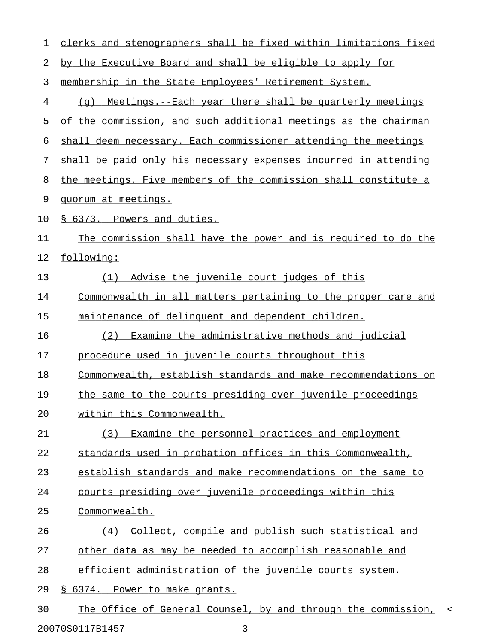| 1  | clerks and stenographers shall be fixed within limitations fixed         |
|----|--------------------------------------------------------------------------|
| 2  | by the Executive Board and shall be eligible to apply for                |
| 3  | membership in the State Employees' Retirement System.                    |
| 4  | Meetings.--Each year there shall be quarterly meetings<br>(q)            |
| 5  | of the commission, and such additional meetings as the chairman          |
| 6  | shall deem necessary. Each commissioner attending the meetings           |
| 7  | shall be paid only his necessary expenses incurred in attending          |
| 8  | the meetings. Five members of the commission shall constitute a          |
| 9  | quorum at meetings.                                                      |
| 10 | § 6373. Powers and duties.                                               |
| 11 | The commission shall have the power and is required to do the            |
| 12 | following:                                                               |
| 13 | Advise the juvenile court judges of this<br>(1)                          |
| 14 | <u>Commonwealth in all matters pertaining to the proper care and</u>     |
| 15 | maintenance of delinquent and dependent children.                        |
| 16 | Examine the administrative methods and judicial<br>(2)                   |
| 17 | procedure used in juvenile courts throughout this                        |
| 18 | Commonwealth, establish standards and make recommendations on            |
| 19 | the same to the courts presiding over juvenile proceedings               |
| 20 | within this Commonwealth.                                                |
| 21 | (3) Examine the personnel practices and employment                       |
| 22 | standards used in probation offices in this Commonwealth,                |
| 23 | establish standards and make recommendations on the same to              |
| 24 | courts presiding over juvenile proceedings within this                   |
| 25 | Commonwealth.                                                            |
| 26 | (4) Collect, compile and publish such statistical and                    |
| 27 | other data as may be needed to accomplish reasonable and                 |
| 28 | efficient administration of the juvenile courts system.                  |
| 29 | § 6374. Power to make grants.                                            |
| 30 | The Office of General Counsel, by and through the commission,<br>$\,<\,$ |
|    | 20070S0117B1457<br>$-3 -$                                                |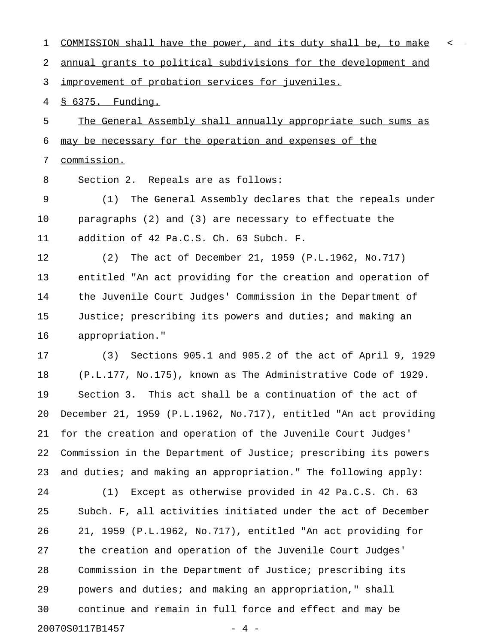| 1  | COMMISSION shall have the power, and its duty shall be, to make<br>$\overline{\phantom{a}}$ |
|----|---------------------------------------------------------------------------------------------|
| 2  | annual grants to political subdivisions for the development and                             |
| 3  | improvement of probation services for juveniles.                                            |
| 4  | <u>§ 6375. Funding.</u>                                                                     |
| 5  | The General Assembly shall annually appropriate such sums as                                |
| 6  | may be necessary for the operation and expenses of the                                      |
| 7  | commission.                                                                                 |
| 8  | Section 2. Repeals are as follows:                                                          |
| 9  | The General Assembly declares that the repeals under<br>(1)                                 |
| 10 | paragraphs $(2)$ and $(3)$ are necessary to effectuate the                                  |
| 11 | addition of 42 Pa.C.S. Ch. 63 Subch. F.                                                     |
| 12 | The act of December 21, 1959 (P.L.1962, No.717)<br>(2)                                      |
| 13 | entitled "An act providing for the creation and operation of                                |
| 14 | the Juvenile Court Judges' Commission in the Department of                                  |
| 15 | Justice; prescribing its powers and duties; and making an                                   |
| 16 | appropriation."                                                                             |
| 17 | Sections 905.1 and 905.2 of the act of April 9, 1929<br>(3)                                 |
| 18 | (P.L.177, No.175), known as The Administrative Code of 1929.                                |
| 19 | Section 3. This act shall be a continuation of the act of                                   |
| 20 | December 21, 1959 (P.L.1962, No.717), entitled "An act providing                            |
| 21 | for the creation and operation of the Juvenile Court Judges'                                |
| 22 | Commission in the Department of Justice; prescribing its powers                             |
| 23 | and duties; and making an appropriation." The following apply:                              |
| 24 | Except as otherwise provided in 42 Pa.C.S. Ch. 63<br>(1)                                    |
| 25 | Subch. F, all activities initiated under the act of December                                |
| 26 | 21, 1959 (P.L.1962, No.717), entitled "An act providing for                                 |
| 27 | the creation and operation of the Juvenile Court Judges'                                    |
| 28 | Commission in the Department of Justice; prescribing its                                    |
| 29 | powers and duties; and making an appropriation," shall                                      |
| 30 | continue and remain in full force and effect and may be                                     |
|    | 20070S0117B1457<br>4                                                                        |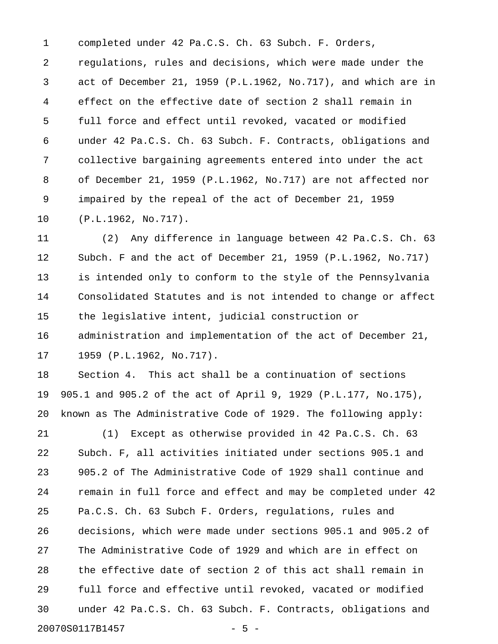1 completed under 42 Pa.C.S. Ch. 63 Subch. F. Orders, 2 regulations, rules and decisions, which were made under the 3 act of December 21, 1959 (P.L.1962, No.717), and which are in 4 effect on the effective date of section 2 shall remain in 5 full force and effect until revoked, vacated or modified 6 under 42 Pa.C.S. Ch. 63 Subch. F. Contracts, obligations and 7 collective bargaining agreements entered into under the act 8 of December 21, 1959 (P.L.1962, No.717) are not affected nor 9 impaired by the repeal of the act of December 21, 1959 10 (P.L.1962, No.717).

11 (2) Any difference in language between 42 Pa.C.S. Ch. 63 12 Subch. F and the act of December 21, 1959 (P.L.1962, No.717) 13 is intended only to conform to the style of the Pennsylvania 14 Consolidated Statutes and is not intended to change or affect 15 the legislative intent, judicial construction or 16 administration and implementation of the act of December 21, 17 1959 (P.L.1962, No.717).

18 Section 4. This act shall be a continuation of sections 19 905.1 and 905.2 of the act of April 9, 1929 (P.L.177, No.175), 20 known as The Administrative Code of 1929. The following apply:

21 (1) Except as otherwise provided in 42 Pa.C.S. Ch. 63 22 Subch. F, all activities initiated under sections 905.1 and 23 905.2 of The Administrative Code of 1929 shall continue and 24 remain in full force and effect and may be completed under 42 25 Pa.C.S. Ch. 63 Subch F. Orders, regulations, rules and 26 decisions, which were made under sections 905.1 and 905.2 of 27 The Administrative Code of 1929 and which are in effect on 28 the effective date of section 2 of this act shall remain in 29 full force and effective until revoked, vacated or modified 30 under 42 Pa.C.S. Ch. 63 Subch. F. Contracts, obligations and 20070S0117B1457 - 5 -